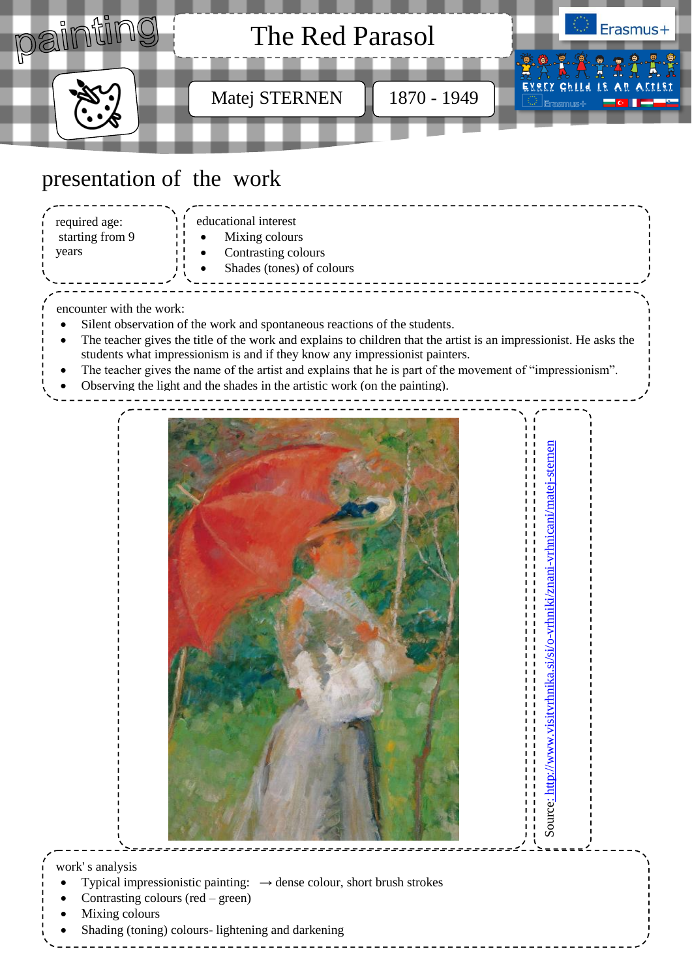

## presentation of the work

| required age:<br>starting from 9<br>years | educational interest<br>Mixing colours<br>Contrasting colours<br>Shades (tones) of colours |  |
|-------------------------------------------|--------------------------------------------------------------------------------------------|--|
|                                           |                                                                                            |  |

encounter with the work:

<sup>-</sup>

- Silent observation of the work and spontaneous reactions of the students.
- The teacher gives the title of the work and explains to children that the artist is an impressionist. He asks the students what impressionism is and if they know any impressionist painters.
- The teacher gives the name of the artist and explains that he is part of the movement of "impressionism".
- Observing the light and the shades in the artistic work (on the painting).



Source: [http://www.visitvrhnika.si/si/o-vrhniki/znani-vrhnicani/matej-sternen](file:///I:/Erazmus/:%20http:/www.visitvrhnika.si/si/o-vrhniki/znani-vrhnicani/matej-sternen)

Source: http://www.visityrhnika.si/si/o-yrhniki/znani-yrhnicani/matej-sterner

work' s analysis *insert picture of* 

- Typical impressionistic painting: → dense colour, short brush strokes
- Contrasting colours (red green)
- Mixing colours
- Shading (toning) colours- lightening and darkening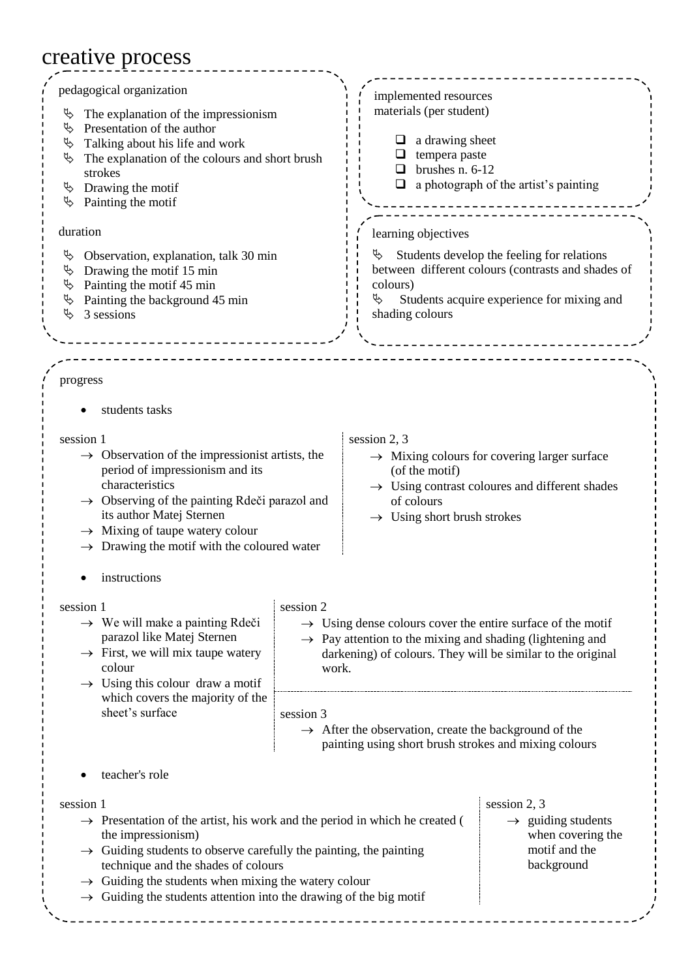## creative process

| pedagogical organization<br>The explanation of the impressionism<br>Ψ<br>Presentation of the author<br>Ъ<br>Talking about his life and work<br>Ψ<br>The explanation of the colours and short brush<br>Ψ<br>strokes<br>Drawing the motif<br>Ъ<br>Painting the motif<br>Ъ<br>duration<br>Observation, explanation, talk 30 min<br>Ψ<br>Drawing the motif 15 min<br>Ъ<br>Painting the motif 45 min<br>Ψ<br>Painting the background 45 min<br>₿<br>Ъ<br>3 sessions                                                  |                                                                                                                                                                                                                                       | implemented resources<br>materials (per student)<br>a drawing sheet<br>tempera paste<br>brushes n. 6-12<br>□<br>$\Box$<br>a photograph of the artist's painting<br>learning objectives<br>Ψ<br>Students develop the feeling for relations<br>between different colours (contrasts and shades of<br>colours)<br>Ъ<br>Students acquire experience for mixing and<br>shading colours |                                                                                                                        |  |  |  |
|-----------------------------------------------------------------------------------------------------------------------------------------------------------------------------------------------------------------------------------------------------------------------------------------------------------------------------------------------------------------------------------------------------------------------------------------------------------------------------------------------------------------|---------------------------------------------------------------------------------------------------------------------------------------------------------------------------------------------------------------------------------------|-----------------------------------------------------------------------------------------------------------------------------------------------------------------------------------------------------------------------------------------------------------------------------------------------------------------------------------------------------------------------------------|------------------------------------------------------------------------------------------------------------------------|--|--|--|
|                                                                                                                                                                                                                                                                                                                                                                                                                                                                                                                 |                                                                                                                                                                                                                                       |                                                                                                                                                                                                                                                                                                                                                                                   |                                                                                                                        |  |  |  |
| progress<br>students tasks<br>session 1<br>$\rightarrow$ Observation of the impressionist artists, the<br>period of impressionism and its<br>characteristics<br>$\rightarrow$ Observing of the painting Rdeči parazol and<br>its author Matej Sternen<br>Mixing of taupe watery colour<br>$\rightarrow$<br>Drawing the motif with the coloured water                                                                                                                                                            |                                                                                                                                                                                                                                       | session 2, 3<br>(of the motif)<br>of colours<br>$\rightarrow$ Using short brush strokes                                                                                                                                                                                                                                                                                           | $\rightarrow$ Mixing colours for covering larger surface<br>$\rightarrow$ Using contrast coloures and different shades |  |  |  |
| instructions                                                                                                                                                                                                                                                                                                                                                                                                                                                                                                    |                                                                                                                                                                                                                                       |                                                                                                                                                                                                                                                                                                                                                                                   |                                                                                                                        |  |  |  |
| session 1<br>$\rightarrow$ We will make a painting Rdeči<br>parazol like Matej Sternen<br>$\rightarrow$ First, we will mix taupe watery<br>colour<br>$\rightarrow$ Using this colour draw a motif<br>which covers the majority of the                                                                                                                                                                                                                                                                           | session 2<br>$\rightarrow$ Using dense colours cover the entire surface of the motif<br>$\rightarrow$ Pay attention to the mixing and shading (lightening and<br>darkening) of colours. They will be similar to the original<br>work. |                                                                                                                                                                                                                                                                                                                                                                                   |                                                                                                                        |  |  |  |
| sheet's surface                                                                                                                                                                                                                                                                                                                                                                                                                                                                                                 | session 3<br>$\rightarrow$ After the observation, create the background of the<br>painting using short brush strokes and mixing colours                                                                                               |                                                                                                                                                                                                                                                                                                                                                                                   |                                                                                                                        |  |  |  |
| teacher's role                                                                                                                                                                                                                                                                                                                                                                                                                                                                                                  |                                                                                                                                                                                                                                       |                                                                                                                                                                                                                                                                                                                                                                                   |                                                                                                                        |  |  |  |
| session 1<br>session 2, 3<br>$\rightarrow$ Presentation of the artist, his work and the period in which he created (<br>$\rightarrow$ guiding students<br>when covering the<br>the impressionism)<br>motif and the<br>$\rightarrow$ Guiding students to observe carefully the painting, the painting<br>background<br>technique and the shades of colours<br>$\rightarrow$ Guiding the students when mixing the watery colour<br>$\rightarrow$ Guiding the students attention into the drawing of the big motif |                                                                                                                                                                                                                                       |                                                                                                                                                                                                                                                                                                                                                                                   |                                                                                                                        |  |  |  |